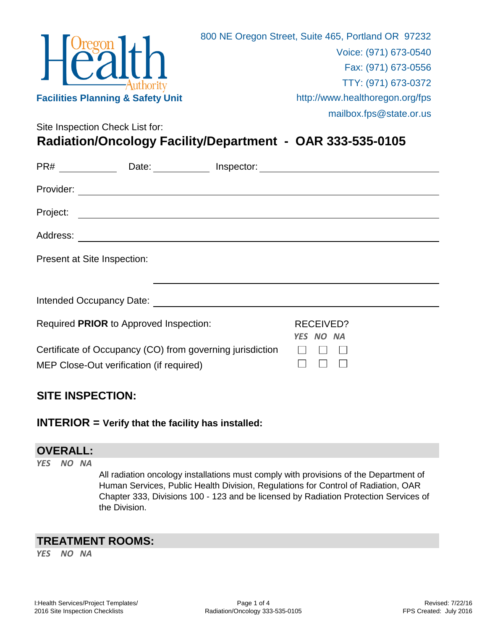|                                              | 800 NE Oregon Street, Suite 465, Portland OR 97232 |
|----------------------------------------------|----------------------------------------------------|
| $H^{\text{Oregon}}_{\text{Call}}$            | Voice: (971) 673-0540                              |
|                                              | Fax: (971) 673-0556                                |
|                                              | TTY: (971) 673-0372                                |
| <b>Facilities Planning &amp; Safety Unit</b> | http://www.healthoregon.org/fps                    |
|                                              | mailbox.fps@state.or.us                            |
| Site Inspection Check List for:              |                                                    |

**Radiation/Oncology Facility/Department - OAR 333-535-0105**

| $PR#$ _________ | Date: Inspector: Date: Inspector:                                                                                                                                                                                              |                        |  |
|-----------------|--------------------------------------------------------------------------------------------------------------------------------------------------------------------------------------------------------------------------------|------------------------|--|
| Provider:       |                                                                                                                                                                                                                                |                        |  |
| Project:        | <u> 1989 - Johann John Stein, markin fizik eta idazlea (</u>                                                                                                                                                                   |                        |  |
| Address:        | <u> 1980 - Andrea Andrew Maria (h. 1980).</u>                                                                                                                                                                                  |                        |  |
|                 | Present at Site Inspection:                                                                                                                                                                                                    |                        |  |
|                 |                                                                                                                                                                                                                                |                        |  |
|                 | Intended Occupancy Date: National Contract of Contract of Contract of Contract of Contract of Contract of Contract of Contract of Contract of Contract of Contract of Contract of Contract of Contract of Contract of Contract |                        |  |
|                 | Required PRIOR to Approved Inspection:                                                                                                                                                                                         | RECEIVED?<br>YES NO NA |  |
|                 | Certificate of Occupancy (CO) from governing jurisdiction<br>MEP Close-Out verification (if required)                                                                                                                          |                        |  |

## **SITE INSPECTION:**

### **INTERIOR = Verify that the facility has installed:**

#### **OVERALL:**

*YES NO NA*

All radiation oncology installations must comply with provisions of the Department of Human Services, Public Health Division, Regulations for Control of Radiation, OAR Chapter 333, Divisions 100 - 123 and be licensed by Radiation Protection Services of the Division.

## **TREATMENT ROOMS:**

*YES NO NA*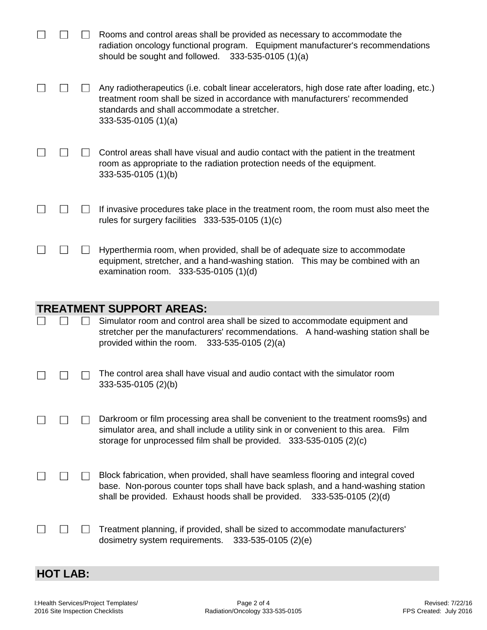|  |              | Rooms and control areas shall be provided as necessary to accommodate the<br>radiation oncology functional program. Equipment manufacturer's recommendations<br>should be sought and followed. $333-535-0105(1)(a)$                                 |
|--|--------------|-----------------------------------------------------------------------------------------------------------------------------------------------------------------------------------------------------------------------------------------------------|
|  |              | Any radiotherapeutics (i.e. cobalt linear accelerators, high dose rate after loading, etc.)<br>treatment room shall be sized in accordance with manufacturers' recommended<br>standards and shall accommodate a stretcher.<br>$333-535-0105(1)(a)$  |
|  |              | Control areas shall have visual and audio contact with the patient in the treatment<br>room as appropriate to the radiation protection needs of the equipment.<br>333-535-0105 (1)(b)                                                               |
|  |              | If invasive procedures take place in the treatment room, the room must also meet the<br>rules for surgery facilities $333-535-0105(1)(c)$                                                                                                           |
|  | $\mathsf{I}$ | Hyperthermia room, when provided, shall be of adequate size to accommodate<br>equipment, stretcher, and a hand-washing station. This may be combined with an<br>examination room. 333-535-0105 (1)(d)                                               |
|  |              |                                                                                                                                                                                                                                                     |
|  |              | <b>TREATMENT SUPPORT AREAS:</b>                                                                                                                                                                                                                     |
|  |              | Simulator room and control area shall be sized to accommodate equipment and<br>stretcher per the manufacturers' recommendations. A hand-washing station shall be<br>provided within the room.<br>$333-535-0105(2)(a)$                               |
|  |              | The control area shall have visual and audio contact with the simulator room<br>333-535-0105 (2)(b)                                                                                                                                                 |
|  |              | Darkroom or film processing area shall be convenient to the treatment rooms9s) and<br>simulator area, and shall include a utility sink in or convenient to this area. Film<br>storage for unprocessed film shall be provided. 333-535-0105 (2)(c)   |
|  |              | Block fabrication, when provided, shall have seamless flooring and integral coved<br>base. Non-porous counter tops shall have back splash, and a hand-washing station<br>shall be provided. Exhaust hoods shall be provided.<br>333-535-0105 (2)(d) |

# **HOT LAB:**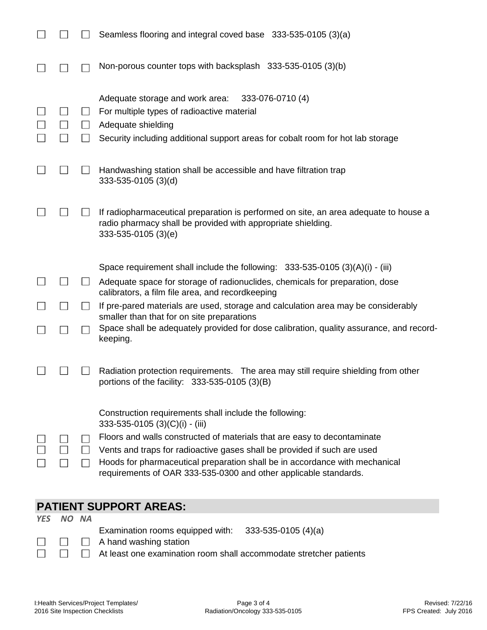| Non-porous counter tops with backsplash 333-535-0105 (3)(b)<br>333-076-0710 (4)<br>Adequate storage and work area:                                                                                                                                                                                                                                                                                  |  |
|-----------------------------------------------------------------------------------------------------------------------------------------------------------------------------------------------------------------------------------------------------------------------------------------------------------------------------------------------------------------------------------------------------|--|
|                                                                                                                                                                                                                                                                                                                                                                                                     |  |
| For multiple types of radioactive material<br>Adequate shielding<br>$\Box$<br>Security including additional support areas for cobalt room for hot lab storage                                                                                                                                                                                                                                       |  |
| Handwashing station shall be accessible and have filtration trap<br>$333 - 535 - 0105$ (3)(d)                                                                                                                                                                                                                                                                                                       |  |
| If radiopharmaceutical preparation is performed on site, an area adequate to house a<br>radio pharmacy shall be provided with appropriate shielding.<br>$333 - 535 - 0105$ (3)(e)                                                                                                                                                                                                                   |  |
| Space requirement shall include the following: $333-535-0105(3)(A)(i) - (iii)$                                                                                                                                                                                                                                                                                                                      |  |
| Adequate space for storage of radionuclides, chemicals for preparation, dose<br>calibrators, a film file area, and recordkeeping                                                                                                                                                                                                                                                                    |  |
| If pre-pared materials are used, storage and calculation area may be considerably<br>smaller than that for on site preparations                                                                                                                                                                                                                                                                     |  |
| Space shall be adequately provided for dose calibration, quality assurance, and record-<br>keeping.                                                                                                                                                                                                                                                                                                 |  |
| Radiation protection requirements. The area may still require shielding from other<br>portions of the facility: $333-535-0105$ (3)(B)                                                                                                                                                                                                                                                               |  |
| Construction requirements shall include the following:<br>333-535-0105 (3)(C)(i) - (iii)<br>Floors and walls constructed of materials that are easy to decontaminate<br>Vents and traps for radioactive gases shall be provided if such are used<br>Hoods for pharmaceutical preparation shall be in accordance with mechanical<br>requirements of OAR 333-535-0300 and other applicable standards. |  |

## **PATIENT SUPPORT AREAS:**

*YES NO NA*

 $\Box$ 

 $\Box$  $\Box$  Examination rooms equipped with: 333-535-0105 (4)(a)

 $\Box$  A hand washing station  $\Box$ 

At least one examination room shall accommodate stretcher patients